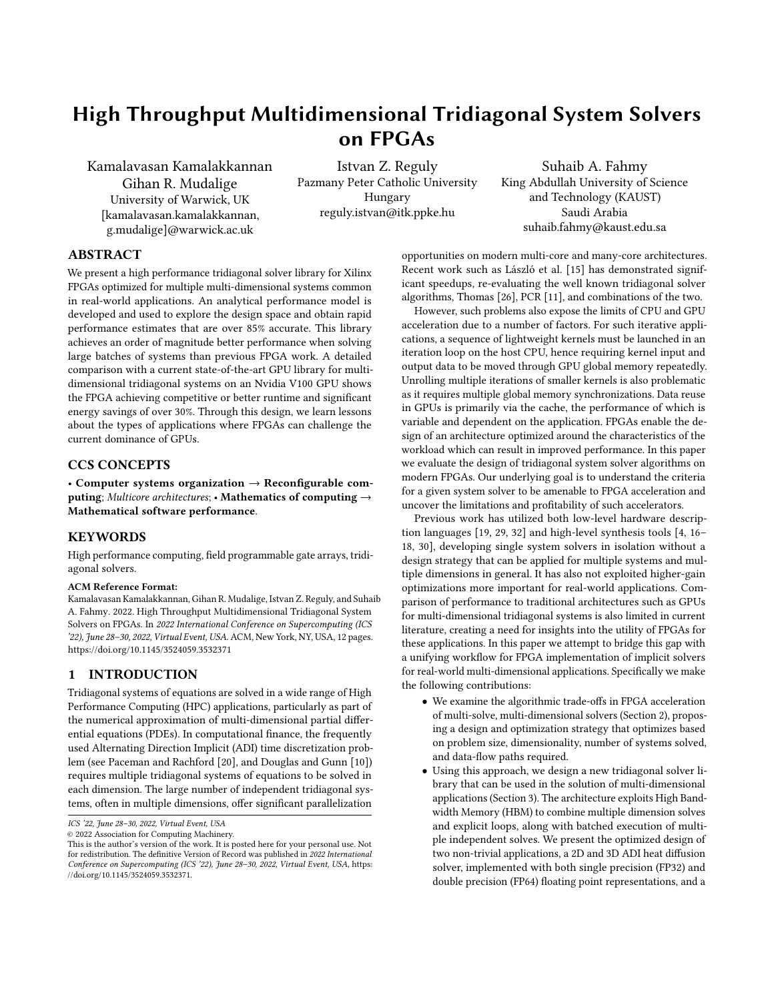# High Throughput Multidimensional Tridiagonal System Solvers on FPGAs

Kamalavasan Kamalakkannan Gihan R. Mudalige University of Warwick, UK [kamalavasan.kamalakkannan, g.mudalige]@warwick.ac.uk

Istvan Z. Reguly Pazmany Peter Catholic University Hungary reguly.istvan@itk.ppke.hu

Suhaib A. Fahmy King Abdullah University of Science and Technology (KAUST) Saudi Arabia suhaib.fahmy@kaust.edu.sa

# ABSTRACT

We present a high performance tridiagonal solver library for Xilinx FPGAs optimized for multiple multi-dimensional systems common in real-world applications. An analytical performance model is developed and used to explore the design space and obtain rapid performance estimates that are over 85% accurate. This library achieves an order of magnitude better performance when solving large batches of systems than previous FPGA work. A detailed comparison with a current state-of-the-art GPU library for multidimensional tridiagonal systems on an Nvidia V100 GPU shows the FPGA achieving competitive or better runtime and significant energy savings of over 30%. Through this design, we learn lessons about the types of applications where FPGAs can challenge the current dominance of GPUs.

## CCS CONCEPTS

• Computer systems organization  $\rightarrow$  Reconfigurable computing; Multicore architectures; • Mathematics of computing  $\rightarrow$ Mathematical software performance.

## KEYWORDS

High performance computing, field programmable gate arrays, tridiagonal solvers.

#### ACM Reference Format:

Kamalavasan Kamalakkannan, Gihan R. Mudalige, Istvan Z. Reguly, and Suhaib A. Fahmy. 2022. High Throughput Multidimensional Tridiagonal System Solvers on FPGAs. In 2022 International Conference on Supercomputing (ICS '22), June 28-30, 2022, Virtual Event, USA. ACM, New York, NY, USA, [12](#page-11-0) pages. <https://doi.org/10.1145/3524059.3532371>

# 1 INTRODUCTION

Tridiagonal systems of equations are solved in a wide range of High Performance Computing (HPC) applications, particularly as part of the numerical approximation of multi-dimensional partial differential equations (PDEs). In computational finance, the frequently used Alternating Direction Implicit (ADI) time discretization problem (see Paceman and Rachford [\[20\]](#page-11-1), and Douglas and Gunn [\[10\]](#page-11-2)) requires multiple tridiagonal systems of equations to be solved in each dimension. The large number of independent tridiagonal systems, often in multiple dimensions, offer significant parallelization

© 2022 Association for Computing Machinery.

opportunities on modern multi-core and many-core architectures. Recent work such as László et al. [\[15\]](#page-11-3) has demonstrated significant speedups, re-evaluating the well known tridiagonal solver algorithms, Thomas [\[26\]](#page-11-4), PCR [\[11\]](#page-11-5), and combinations of the two.

However, such problems also expose the limits of CPU and GPU acceleration due to a number of factors. For such iterative applications, a sequence of lightweight kernels must be launched in an iteration loop on the host CPU, hence requiring kernel input and output data to be moved through GPU global memory repeatedly. Unrolling multiple iterations of smaller kernels is also problematic as it requires multiple global memory synchronizations. Data reuse in GPUs is primarily via the cache, the performance of which is variable and dependent on the application. FPGAs enable the design of an architecture optimized around the characteristics of the workload which can result in improved performance. In this paper we evaluate the design of tridiagonal system solver algorithms on modern FPGAs. Our underlying goal is to understand the criteria for a given system solver to be amenable to FPGA acceleration and uncover the limitations and profitability of such accelerators.

Previous work has utilized both low-level hardware description languages  $[19, 29, 32]$  $[19, 29, 32]$  $[19, 29, 32]$  $[19, 29, 32]$  and high-level synthesis tools  $[4, 16-$ [18,](#page-11-11) [30\]](#page-11-12), developing single system solvers in isolation without a design strategy that can be applied for multiple systems and multiple dimensions in general. It has also not exploited higher-gain optimizations more important for real-world applications. Comparison of performance to traditional architectures such as GPUs for multi-dimensional tridiagonal systems is also limited in current literature, creating a need for insights into the utility of FPGAs for these applications. In this paper we attempt to bridge this gap with a unifying workflow for FPGA implementation of implicit solvers for real-world multi-dimensional applications. Specifically we make the following contributions:

- We examine the algorithmic trade-offs in FPGA acceleration of multi-solve, multi-dimensional solvers (Section [2\)](#page-1-0), proposing a design and optimization strategy that optimizes based on problem size, dimensionality, number of systems solved, and data-flow paths required.
- Using this approach, we design a new tridiagonal solver library that can be used in the solution of multi-dimensional applications (Section [3\)](#page-2-0). The architecture exploits High Bandwidth Memory (HBM) to combine multiple dimension solves and explicit loops, along with batched execution of multiple independent solves. We present the optimized design of two non-trivial applications, a 2D and 3D ADI heat diffusion solver, implemented with both single precision (FP32) and double precision (FP64) floating point representations, and a

ICS '22, June 28-30, 2022, Virtual Event, USA

This is the author's version of the work. It is posted here for your personal use. Not for redistribution. The definitive Version of Record was published in 2022 International Conference on Supercomputing (ICS '22), June 28-30, 2022, Virtual Event, USA, [https:](https://doi.org/10.1145/3524059.3532371) [//doi.org/10.1145/3524059.3532371.](https://doi.org/10.1145/3524059.3532371)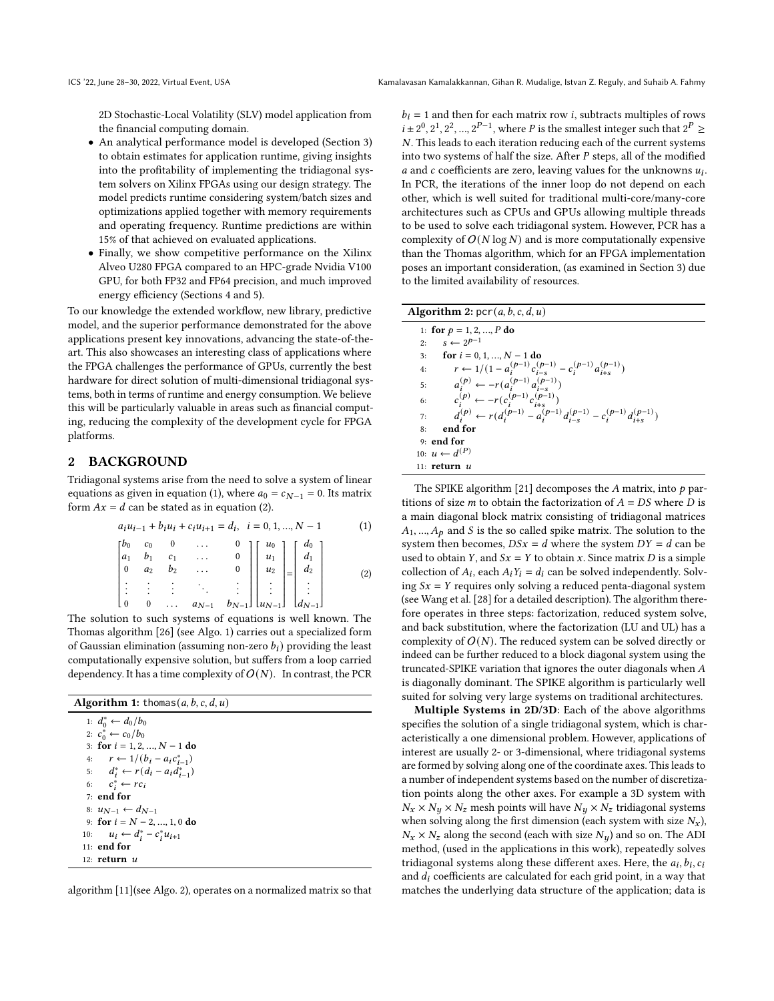2D Stochastic-Local Volatility (SLV) model application from the financial computing domain.

- An analytical performance model is developed (Section [3\)](#page-2-0) to obtain estimates for application runtime, giving insights into the profitability of implementing the tridiagonal system solvers on Xilinx FPGAs using our design strategy. The model predicts runtime considering system/batch sizes and optimizations applied together with memory requirements and operating frequency. Runtime predictions are within 15% of that achieved on evaluated applications.
- Finally, we show competitive performance on the Xilinx Alveo U280 FPGA compared to an HPC-grade Nvidia V100 GPU, for both FP32 and FP64 precision, and much improved energy efficiency (Sections [4](#page-4-0) and [5\)](#page-9-0).

To our knowledge the extended workflow, new library, predictive model, and the superior performance demonstrated for the above applications present key innovations, advancing the state-of-theart. This also showcases an interesting class of applications where the FPGA challenges the performance of GPUs, currently the best hardware for direct solution of multi-dimensional tridiagonal systems, both in terms of runtime and energy consumption. We believe this will be particularly valuable in areas such as financial computing, reducing the complexity of the development cycle for FPGA platforms.

#### <span id="page-1-0"></span>2 BACKGROUND

Tridiagonal systems arise from the need to solve a system of linear equations as given in equation [\(1\)](#page-1-1), where  $a_0 = c_{N-1} = 0$ . Its matrix form  $Ax = d$  can be stated as in equation [\(2\)](#page-1-2).

<span id="page-1-2"></span><span id="page-1-1"></span>
$$
a_{i}u_{i-1} + b_{i}u_{i} + c_{i}u_{i+1} = d_{i}, i = 0, 1, ..., N - 1
$$
\n
$$
\begin{bmatrix} b_{0} & c_{0} & 0 & \cdots & 0 \\ a_{1} & b_{1} & c_{1} & \cdots & 0 \\ 0 & a_{2} & b_{2} & \cdots & 0 \\ \vdots & \vdots & \vdots & \ddots & \vdots \\ 0 & 0 & \cdots & a_{N-1} & b_{N-1} \end{bmatrix} \begin{bmatrix} u_{0} \\ u_{1} \\ u_{2} \\ \vdots \\ u_{N-1} \end{bmatrix} = \begin{bmatrix} d_{0} \\ d_{1} \\ d_{2} \\ \vdots \\ d_{N-1} \end{bmatrix}
$$
\n(1)

The solution to such systems of equations is well known. The Thomas algorithm [\[26\]](#page-11-4) (see Algo. [1\)](#page-1-3) carries out a specialized form of Gaussian elimination (assuming non-zero  $b_i$ ) providing the least computationally expensive solution, but suffers from a loop carried dependency. It has a time complexity of  $O(N)$ . In contrast, the PCR

| <b>Algorithm 1:</b> thomas(a, b, c, d, u)     |
|-----------------------------------------------|
| 1: $d_0^* \leftarrow d_0/b_0$                 |
| 2: $c_0^* \leftarrow c_0/b_0$                 |
| 3: for $i = 1, 2, , N - 1$ do                 |
| 4: $r \leftarrow 1/(b_i - a_i c_{i-1}^*)$     |
| 5: $d_i^* \leftarrow r(d_i - a_i d_{i-1}^*)$  |
| 6: $c_i^* \leftarrow rc_i$                    |
| $7:$ end for                                  |
| 8: $u_{N-1} \leftarrow d_{N-1}$               |
| 9: for $i = N - 2, , 1, 0$ do                 |
| $u_i \leftarrow d_i^* - c_i^* u_{i+1}$<br>10: |
| $11:$ end for                                 |

<span id="page-1-3"></span>12:  $return u$ 

algorithm [\[11\]](#page-11-5)(see Algo. [2\)](#page-1-4), operates on a normalized matrix so that

 $b_i = 1$  and then for each matrix row *i*, subtracts multiples of rows  $i \pm 2^0, 2^1, 2^2, ..., 2^{P-1}$ , where P is the smallest integer such that  $2^P \ge$ . This leads to each iteration reducing each of the current systems into two systems of half the size. After  $P$  steps, all of the modified a and  $c$  coefficients are zero, leaving values for the unknowns  $u_i$ . In PCR, the iterations of the inner loop do not depend on each other, which is well suited for traditional multi-core/many-core architectures such as CPUs and GPUs allowing multiple threads to be used to solve each tridiagonal system. However, PCR has a complexity of  $O(N \log N)$  and is more computationally expensive than the Thomas algorithm, which for an FPGA implementation poses an important consideration, (as examined in Section [3\)](#page-2-0) due to the limited availability of resources.

| <b>Algorithm 2:</b> $pcr(a, b, c, d, u)$                                                      |  |  |  |  |
|-----------------------------------------------------------------------------------------------|--|--|--|--|
| 1: for $p = 1, 2, , P$ do                                                                     |  |  |  |  |
| $s \leftarrow 2^{p-1}$<br>2:                                                                  |  |  |  |  |
| for $i = 0, 1, , N - 1$ do<br>3:                                                              |  |  |  |  |
| $r \leftarrow 1/(1 - a_i^{(p-1)} c_{i-s}^{(p-1)} - c_i^{(p-1)} a_{i+s}^{(p-1)})$<br>4:        |  |  |  |  |
| $a_i^{(p)} \leftarrow -r(a_i^{(p-1)}a_{i-s}^{(p-1)})$<br>5:                                   |  |  |  |  |
| $c_i^{(p)} \leftarrow -r(c_i^{(p-1)}c_{i+s}^{(p-1)})$<br>6:                                   |  |  |  |  |
| $d_i^{(p)} \leftarrow r(d_i^{(p-1)} - a_i^{(p-1)}d_i^{(p-1)} - c_i^{(p-1)}d_i^{(p-1)})$<br>7: |  |  |  |  |
| end for<br>8:                                                                                 |  |  |  |  |
| $9:$ end for                                                                                  |  |  |  |  |
| 10: $u \leftarrow d^{(P)}$                                                                    |  |  |  |  |
| 11: <b>return</b> u                                                                           |  |  |  |  |

<span id="page-1-4"></span>The SPIKE algorithm [\[21\]](#page-11-13) decomposes the  $A$  matrix, into  $p$  partitions of size *m* to obtain the factorization of  $A = DS$  where *D* is a main diagonal block matrix consisting of tridiagonal matrices  $A_1, ..., A_p$  and S is the so called spike matrix. The solution to the system then becomes,  $DSx = d$  where the system  $DY = d$  can be used to obtain Y, and  $Sx = Y$  to obtain x. Since matrix D is a simple collection of  $A_i$ , each  $A_i Y_i = d_i$  can be solved independently. Solving  $Sx = Y$  requires only solving a reduced penta-diagonal system (see Wang et al. [\[28\]](#page-11-14) for a detailed description). The algorithm therefore operates in three steps: factorization, reduced system solve, and back substitution, where the factorization (LU and UL) has a complexity of  $O(N)$ . The reduced system can be solved directly or indeed can be further reduced to a block diagonal system using the truncated-SPIKE variation that ignores the outer diagonals when  $A$ is diagonally dominant. The SPIKE algorithm is particularly well suited for solving very large systems on traditional architectures.

Multiple Systems in 2D/3D: Each of the above algorithms specifies the solution of a single tridiagonal system, which is characteristically a one dimensional problem. However, applications of interest are usually 2- or 3-dimensional, where tridiagonal systems are formed by solving along one of the coordinate axes. This leads to a number of independent systems based on the number of discretization points along the other axes. For example a 3D system with  $N_x \times N_y \times N_z$  mesh points will have  $N_y \times N_z$  tridiagonal systems when solving along the first dimension (each system with size  $N_x$ ),  $N_x \times N_z$  along the second (each with size  $N_y$ ) and so on. The ADI method, (used in the applications in this work), repeatedly solves tridiagonal systems along these different axes. Here, the  $a_i, b_i, c_i$ and  $d_i$  coefficients are calculated for each grid point, in a way that matches the underlying data structure of the application; data is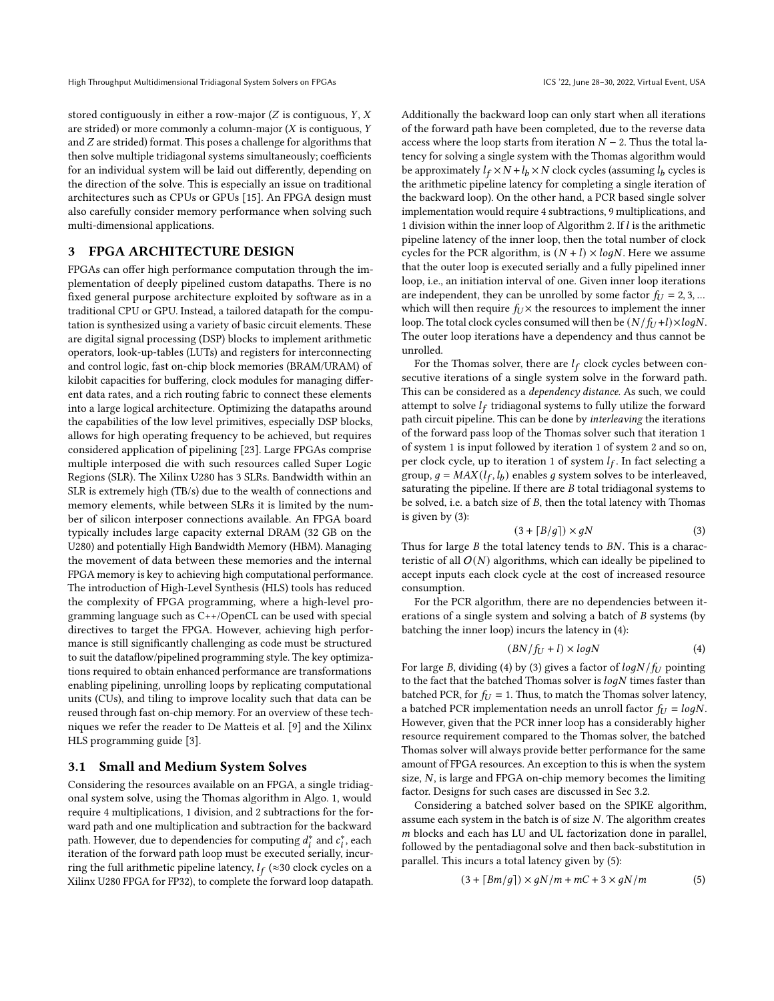stored contiguously in either a row-major  $(Z$  is contiguous,  $Y, X$ are strided) or more commonly a column-major  $(X$  is contiguous,  $Y$ and  $Z$  are strided) format. This poses a challenge for algorithms that then solve multiple tridiagonal systems simultaneously; coefficients for an individual system will be laid out differently, depending on the direction of the solve. This is especially an issue on traditional architectures such as CPUs or GPUs [\[15\]](#page-11-3). An FPGA design must also carefully consider memory performance when solving such multi-dimensional applications.

## <span id="page-2-0"></span>3 FPGA ARCHITECTURE DESIGN

FPGAs can offer high performance computation through the implementation of deeply pipelined custom datapaths. There is no fixed general purpose architecture exploited by software as in a traditional CPU or GPU. Instead, a tailored datapath for the computation is synthesized using a variety of basic circuit elements. These are digital signal processing (DSP) blocks to implement arithmetic operators, look-up-tables (LUTs) and registers for interconnecting and control logic, fast on-chip block memories (BRAM/URAM) of kilobit capacities for buffering, clock modules for managing different data rates, and a rich routing fabric to connect these elements into a large logical architecture. Optimizing the datapaths around the capabilities of the low level primitives, especially DSP blocks, allows for high operating frequency to be achieved, but requires considered application of pipelining [\[23\]](#page-11-15). Large FPGAs comprise multiple interposed die with such resources called Super Logic Regions (SLR). The Xilinx U280 has 3 SLRs. Bandwidth within an SLR is extremely high (TB/s) due to the wealth of connections and memory elements, while between SLRs it is limited by the number of silicon interposer connections available. An FPGA board typically includes large capacity external DRAM (32 GB on the U280) and potentially High Bandwidth Memory (HBM). Managing the movement of data between these memories and the internal FPGA memory is key to achieving high computational performance. The introduction of High-Level Synthesis (HLS) tools has reduced the complexity of FPGA programming, where a high-level programming language such as C++/OpenCL can be used with special directives to target the FPGA. However, achieving high performance is still significantly challenging as code must be structured to suit the dataflow/pipelined programming style. The key optimizations required to obtain enhanced performance are transformations enabling pipelining, unrolling loops by replicating computational units (CUs), and tiling to improve locality such that data can be reused through fast on-chip memory. For an overview of these techniques we refer the reader to De Matteis et al. [\[9\]](#page-11-16) and the Xilinx HLS programming guide [\[3\]](#page-10-0).

#### 3.1 Small and Medium System Solves

Considering the resources available on an FPGA, a single tridiagonal system solve, using the Thomas algorithm in Algo. [1,](#page-1-3) would require 4 multiplications, 1 division, and 2 subtractions for the forward path and one multiplication and subtraction for the backward path. However, due to dependencies for computing  $d_i^*$  and  $c_i^*$ , each iteration of the forward path loop must be executed serially, incurring the full arithmetic pipeline latency,  $l_f$  (≈30 clock cycles on a Xilinx U280 FPGA for FP32), to complete the forward loop datapath. Additionally the backward loop can only start when all iterations of the forward path have been completed, due to the reverse data access where the loop starts from iteration  $N - 2$ . Thus the total latency for solving a single system with the Thomas algorithm would be approximately  $l_f \times N + l_b \times N$  clock cycles (assuming  $l_b$  cycles is the arithmetic pipeline latency for completing a single iteration of the backward loop). On the other hand, a PCR based single solver implementation would require 4 subtractions, 9 multiplications, and 1 division within the inner loop of Algorithm [2.](#page-1-4) If  $l$  is the arithmetic pipeline latency of the inner loop, then the total number of clock cycles for the PCR algorithm, is  $(N + l) \times logN$ . Here we assume that the outer loop is executed serially and a fully pipelined inner loop, i.e., an initiation interval of one. Given inner loop iterations are independent, they can be unrolled by some factor  $f_U = 2, 3, ...$ which will then require  $f_U \times$  the resources to implement the inner loop. The total clock cycles consumed will then be  $(N/f_U+1)\times logN$ . The outer loop iterations have a dependency and thus cannot be unrolled.

For the Thomas solver, there are  $l_f$  clock cycles between consecutive iterations of a single system solve in the forward path. This can be considered as a dependency distance. As such, we could attempt to solve  $l_f$  tridiagonal systems to fully utilize the forward path circuit pipeline. This can be done by interleaving the iterations of the forward pass loop of the Thomas solver such that iteration 1 of system 1 is input followed by iteration 1 of system 2 and so on, per clock cycle, up to iteration 1 of system  $l_f$ . In fact selecting a group,  $g = MAX(l_f, l_b)$  enables g system solves to be interleaved, saturating the pipeline. If there are  $B$  total tridiagonal systems to be solved, i.e. a batch size of  $B$ , then the total latency with Thomas is given by [\(3\)](#page-2-1):

<span id="page-2-1"></span>
$$
(3 + \lceil B/g \rceil) \times gN \tag{3}
$$

Thus for large  $B$  the total latency tends to  $BN$ . This is a characteristic of all  $O(N)$  algorithms, which can ideally be pipelined to accept inputs each clock cycle at the cost of increased resource consumption.

For the PCR algorithm, there are no dependencies between iterations of a single system and solving a batch of  $B$  systems (by batching the inner loop) incurs the latency in [\(4\)](#page-2-2):

<span id="page-2-2"></span>
$$
(BN/f_U + l) \times logN \tag{4}
$$

For large B, dividing [\(4\)](#page-2-2) by [\(3\)](#page-2-1) gives a factor of  $log N/f_U$  pointing to the fact that the batched Thomas solver is  $log N$  times faster than batched PCR, for  $f_U = 1$ . Thus, to match the Thomas solver latency, a batched PCR implementation needs an unroll factor  $f_U = logN$ . However, given that the PCR inner loop has a considerably higher resource requirement compared to the Thomas solver, the batched Thomas solver will always provide better performance for the same amount of FPGA resources. An exception to this is when the system size,  $N$ , is large and FPGA on-chip memory becomes the limiting factor. Designs for such cases are discussed in Sec [3.2.](#page-3-0)

Considering a batched solver based on the SPIKE algorithm, assume each system in the batch is of size  $N$ . The algorithm creates  $m$  blocks and each has LU and UL factorization done in parallel, followed by the pentadiagonal solve and then back-substitution in parallel. This incurs a total latency given by [\(5\)](#page-2-3):

<span id="page-2-3"></span>
$$
(3 + \lceil Bm/g \rceil) \times gN/m + mC + 3 \times gN/m \tag{5}
$$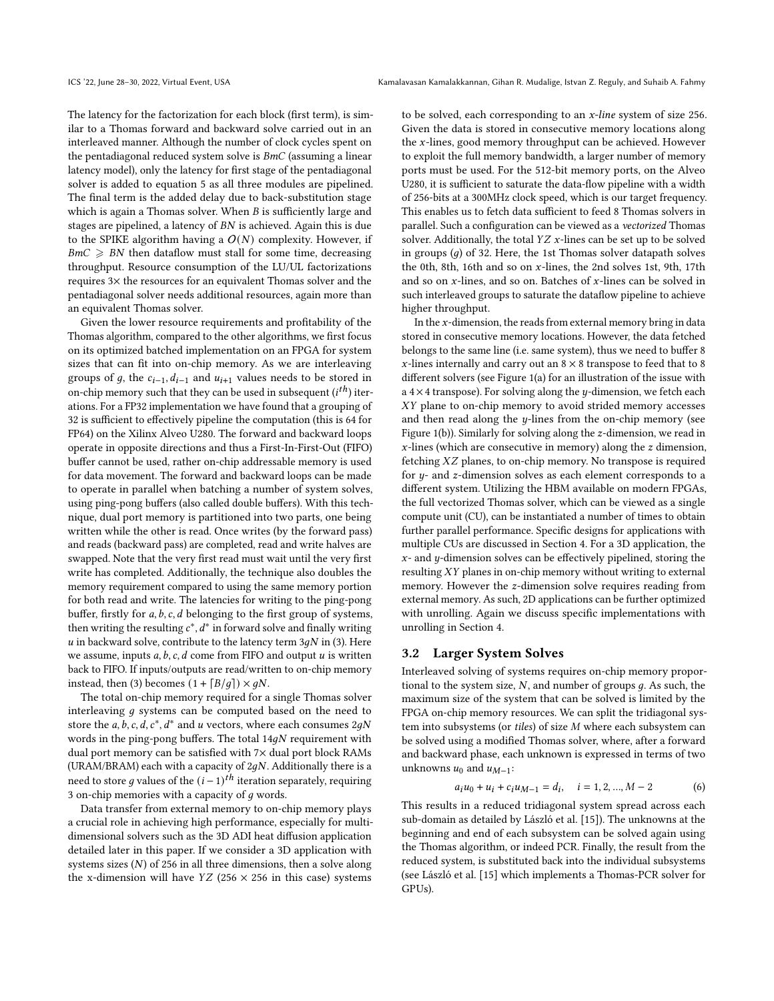The latency for the factorization for each block (first term), is similar to a Thomas forward and backward solve carried out in an interleaved manner. Although the number of clock cycles spent on the pentadiagonal reduced system solve is  $BmC$  (assuming a linear latency model), only the latency for first stage of the pentadiagonal solver is added to equation [5](#page-2-3) as all three modules are pipelined. The final term is the added delay due to back-substitution stage which is again a Thomas solver. When  $B$  is sufficiently large and stages are pipelined, a latency of  $BN$  is achieved. Again this is due to the SPIKE algorithm having a  $O(N)$  complexity. However, if  $BmC \geqslant BN$  then dataflow must stall for some time, decreasing throughput. Resource consumption of the LU/UL factorizations requires 3× the resources for an equivalent Thomas solver and the pentadiagonal solver needs additional resources, again more than an equivalent Thomas solver.

Given the lower resource requirements and profitability of the Thomas algorithm, compared to the other algorithms, we first focus on its optimized batched implementation on an FPGA for system sizes that can fit into on-chip memory. As we are interleaving groups of g, the  $c_{i-1}$ ,  $d_{i-1}$  and  $u_{i+1}$  values needs to be stored in on-chip memory such that they can be used in subsequent  $(i^{th})$  iterations. For a FP32 implementation we have found that a grouping of 32 is sufficient to effectively pipeline the computation (this is 64 for FP64) on the Xilinx Alveo U280. The forward and backward loops operate in opposite directions and thus a First-In-First-Out (FIFO) buffer cannot be used, rather on-chip addressable memory is used for data movement. The forward and backward loops can be made to operate in parallel when batching a number of system solves, using ping-pong buffers (also called double buffers). With this technique, dual port memory is partitioned into two parts, one being written while the other is read. Once writes (by the forward pass) and reads (backward pass) are completed, read and write halves are swapped. Note that the very first read must wait until the very first write has completed. Additionally, the technique also doubles the memory requirement compared to using the same memory portion for both read and write. The latencies for writing to the ping-pong buffer, firstly for  $a, b, c, d$  belonging to the first group of systems, then writing the resulting  $c^*$ ,  $d^*$  in forward solve and finally writing u in backward solve, contribute to the latency term  $3qN$  in [\(3\)](#page-2-1). Here we assume, inputs  $a, b, c, d$  come from FIFO and output  $u$  is written back to FIFO. If inputs/outputs are read/written to on-chip memory instead, then [\(3\)](#page-2-1) becomes  $(1 + \lceil B/q \rceil) \times qN$ .

The total on-chip memory required for a single Thomas solver interleaving  $q$  systems can be computed based on the need to store the a, b, c, d,  $c^*$ ,  $d^*$  and u vectors, where each consumes 2gN words in the ping-pong buffers. The total  $14gN$  requirement with dual port memory can be satisfied with 7× dual port block RAMs (URAM/BRAM) each with a capacity of  $2qN$ . Additionally there is a need to store  $g$  values of the  $(i − 1)^{th}$  iteration separately, requiring 3 on-chip memories with a capacity of  $q$  words.

Data transfer from external memory to on-chip memory plays a crucial role in achieving high performance, especially for multidimensional solvers such as the 3D ADI heat diffusion application detailed later in this paper. If we consider a 3D application with systems sizes  $(N)$  of 256 in all three dimensions, then a solve along the x-dimension will have  $YZ$  (256  $\times$  256 in this case) systems

to be solved, each corresponding to an x-line system of size 256. Given the data is stored in consecutive memory locations along the  $x$ -lines, good memory throughput can be achieved. However to exploit the full memory bandwidth, a larger number of memory ports must be used. For the 512-bit memory ports, on the Alveo U280, it is sufficient to saturate the data-flow pipeline with a width of 256-bits at a 300MHz clock speed, which is our target frequency. This enables us to fetch data sufficient to feed 8 Thomas solvers in parallel. Such a configuration can be viewed as a vectorized Thomas solver. Additionally, the total  $YZ$  x-lines can be set up to be solved in groups  $(q)$  of 32. Here, the 1st Thomas solver datapath solves the 0th, 8th, 16th and so on  $x$ -lines, the 2nd solves 1st, 9th, 17th and so on  $x$ -lines, and so on. Batches of  $x$ -lines can be solved in such interleaved groups to saturate the dataflow pipeline to achieve higher throughput.

In the  $x$ -dimension, the reads from external memory bring in data stored in consecutive memory locations. However, the data fetched belongs to the same line (i.e. same system), thus we need to buffer 8  $x$ -lines internally and carry out an  $8 \times 8$  transpose to feed that to 8 different solvers (see Figure [1\(](#page-4-1)a) for an illustration of the issue with a  $4 \times 4$  transpose). For solving along the y-dimension, we fetch each  $XY$  plane to on-chip memory to avoid strided memory accesses and then read along the  $y$ -lines from the on-chip memory (see Figure [1\(](#page-4-1)b)). Similarly for solving along the  $z$ -dimension, we read in  $x$ -lines (which are consecutive in memory) along the  $z$  dimension, fetching  $XZ$  planes, to on-chip memory. No transpose is required for  $y$ - and  $z$ -dimension solves as each element corresponds to a different system. Utilizing the HBM available on modern FPGAs, the full vectorized Thomas solver, which can be viewed as a single compute unit (CU), can be instantiated a number of times to obtain further parallel performance. Specific designs for applications with multiple CUs are discussed in Section [4.](#page-4-0) For a 3D application, the  $x$ - and  $y$ -dimension solves can be effectively pipelined, storing the resulting  $XY$  planes in on-chip memory without writing to external memory. However the  $z$ -dimension solve requires reading from external memory. As such, 2D applications can be further optimized with unrolling. Again we discuss specific implementations with unrolling in Section [4.](#page-4-0)

#### <span id="page-3-0"></span>3.2 Larger System Solves

Interleaved solving of systems requires on-chip memory proportional to the system size,  $N$ , and number of groups  $g$ . As such, the maximum size of the system that can be solved is limited by the FPGA on-chip memory resources. We can split the tridiagonal system into subsystems (or tiles) of size  $M$  where each subsystem can be solved using a modified Thomas solver, where, after a forward and backward phase, each unknown is expressed in terms of two unknowns  $u_0$  and  $u_{M-1}$ :

$$
a_i u_0 + u_i + c_i u_{M-1} = d_i, \quad i = 1, 2, ..., M - 2
$$
 (6)

This results in a reduced tridiagonal system spread across each sub-domain as detailed by László et al. [\[15\]](#page-11-3)). The unknowns at the beginning and end of each subsystem can be solved again using the Thomas algorithm, or indeed PCR. Finally, the result from the reduced system, is substituted back into the individual subsystems (see László et al. [\[15\]](#page-11-3) which implements a Thomas-PCR solver for GPUs).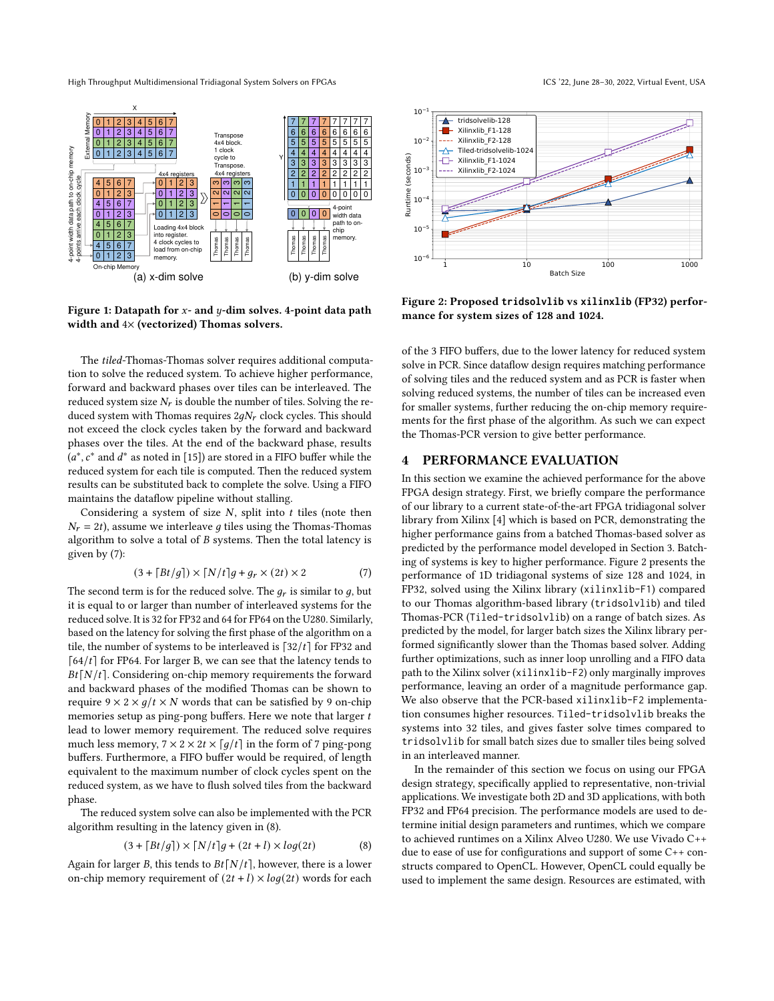High Throughput Multidimensional Tridiagonal System Solvers on FPGAs ICS '22, June 28–30, 2022, Virtual Event, USA

<span id="page-4-1"></span>

Figure 1: Datapath for  $x$ - and  $y$ -dim solves. 4-point data path width and 4× (vectorized) Thomas solvers.

The tiled-Thomas-Thomas solver requires additional computation to solve the reduced system. To achieve higher performance, forward and backward phases over tiles can be interleaved. The reduced system size  $N_r$  is double the number of tiles. Solving the reduced system with Thomas requires  $2gN_r$  clock cycles. This should not exceed the clock cycles taken by the forward and backward phases over the tiles. At the end of the backward phase, results  $\bar{(a^*,c^*}$  and  $d^*$  as noted in [\[15\]](#page-11-3)) are stored in a FIFO buffer while the reduced system for each tile is computed. Then the reduced system results can be substituted back to complete the solve. Using a FIFO maintains the dataflow pipeline without stalling.

Considering a system of size  $N$ , split into  $t$  tiles (note then  $N_r = 2t$ ), assume we interleave g tiles using the Thomas-Thomas algorithm to solve a total of  $B$  systems. Then the total latency is given by [\(7\)](#page-4-2):

<span id="page-4-2"></span>
$$
(3 + \lceil Bt/g \rceil) \times \lceil N/t \rceil g + g_r \times (2t) \times 2 \tag{7}
$$

The second term is for the reduced solve. The  $g_r$  is similar to  $g$ , but it is equal to or larger than number of interleaved systems for the reduced solve. It is 32 for FP32 and 64 for FP64 on the U280. Similarly, based on the latency for solving the first phase of the algorithm on a tile, the number of systems to be interleaved is  $\lceil 32/t \rceil$  for FP32 and  $[64/t]$  for FP64. For larger B, we can see that the latency tends to  $Bt[N/t]$ . Considering on-chip memory requirements the forward and backward phases of the modified Thomas can be shown to require  $9 \times 2 \times g/t \times N$  words that can be satisfied by 9 on-chip memories setup as ping-pong buffers. Here we note that larger  $t$ lead to lower memory requirement. The reduced solve requires much less memory,  $7 \times 2 \times 2t \times \lceil q/t \rceil$  in the form of 7 ping-pong buffers. Furthermore, a FIFO buffer would be required, of length equivalent to the maximum number of clock cycles spent on the reduced system, as we have to flush solved tiles from the backward phase.

The reduced system solve can also be implemented with the PCR algorithm resulting in the latency given in [\(8\)](#page-4-3).

<span id="page-4-3"></span>
$$
(3 + \lceil Bt/g \rceil) \times \lceil N/t \rceil g + (2t + l) \times \log(2t)
$$
 (8)

Again for larger B, this tends to  $Bf[N/t]$ , however, there is a lower on-chip memory requirement of  $(2t + l) \times log(2t)$  words for each

<span id="page-4-4"></span>

Figure 2: Proposed **tridsolvlib** vs **xilinxlib** (FP32) performance for system sizes of 128 and 1024.

of the 3 FIFO buffers, due to the lower latency for reduced system solve in PCR. Since dataflow design requires matching performance of solving tiles and the reduced system and as PCR is faster when solving reduced systems, the number of tiles can be increased even for smaller systems, further reducing the on-chip memory requirements for the first phase of the algorithm. As such we can expect the Thomas-PCR version to give better performance.

#### <span id="page-4-0"></span>4 PERFORMANCE EVALUATION

In this section we examine the achieved performance for the above FPGA design strategy. First, we briefly compare the performance of our library to a current state-of-the-art FPGA tridiagonal solver library from Xilinx [\[4\]](#page-11-9) which is based on PCR, demonstrating the higher performance gains from a batched Thomas-based solver as predicted by the performance model developed in Section [3.](#page-2-0) Batching of systems is key to higher performance. Figure [2](#page-4-4) presents the performance of 1D tridiagonal systems of size 128 and 1024, in FP32, solved using the Xilinx library (xilinxlib-F1) compared to our Thomas algorithm-based library (tridsolvlib) and tiled Thomas-PCR (Tiled-tridsolvlib) on a range of batch sizes. As predicted by the model, for larger batch sizes the Xilinx library performed significantly slower than the Thomas based solver. Adding further optimizations, such as inner loop unrolling and a FIFO data path to the Xilinx solver (xilinxlib-F2) only marginally improves performance, leaving an order of a magnitude performance gap. We also observe that the PCR-based xilinxlib-F2 implementation consumes higher resources. Tiled-tridsolvlib breaks the systems into 32 tiles, and gives faster solve times compared to tridsolvlib for small batch sizes due to smaller tiles being solved in an interleaved manner.

In the remainder of this section we focus on using our FPGA design strategy, specifically applied to representative, non-trivial applications. We investigate both 2D and 3D applications, with both FP32 and FP64 precision. The performance models are used to determine initial design parameters and runtimes, which we compare to achieved runtimes on a Xilinx Alveo U280. We use Vivado C++ due to ease of use for configurations and support of some C++ constructs compared to OpenCL. However, OpenCL could equally be used to implement the same design. Resources are estimated, with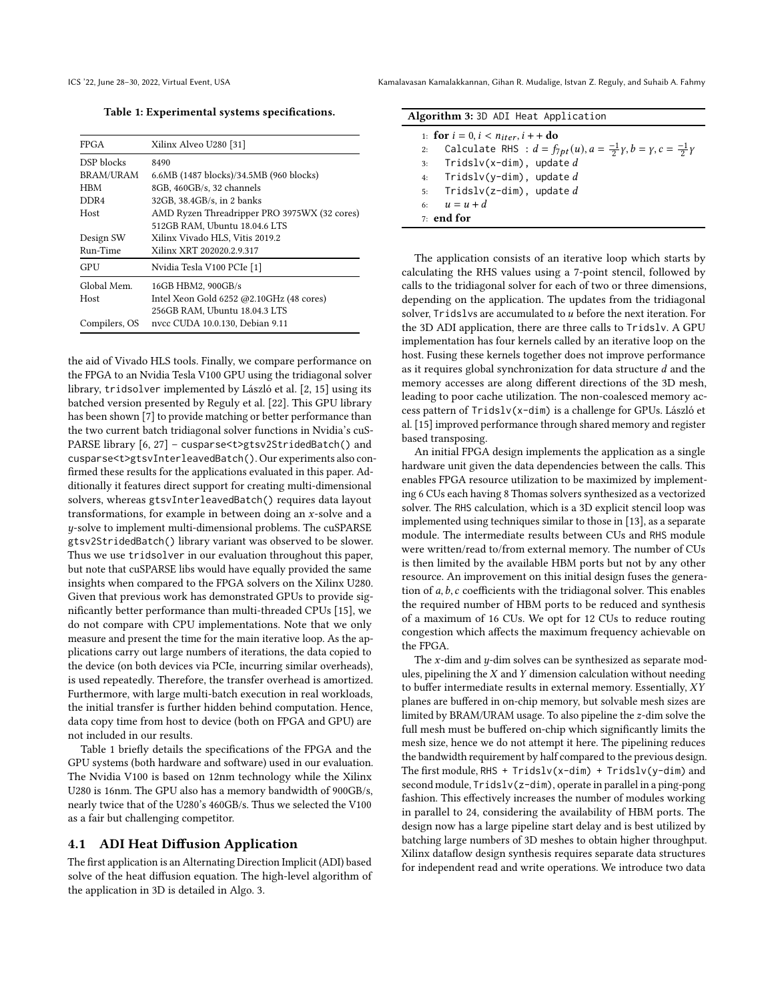Table 1: Experimental systems specifications.

<span id="page-5-0"></span>

| <b>FPGA</b>   | Xilinx Alveo U280 [31]                       |  |  |  |  |
|---------------|----------------------------------------------|--|--|--|--|
| DSP blocks    | 8490                                         |  |  |  |  |
| BRAM/URAM     | 6.6MB (1487 blocks)/34.5MB (960 blocks)      |  |  |  |  |
| <b>HBM</b>    | 8GB, 460GB/s, 32 channels                    |  |  |  |  |
| DDR4          | 32GB, 38.4GB/s, in 2 banks                   |  |  |  |  |
| Host          | AMD Ryzen Threadripper PRO 3975WX (32 cores) |  |  |  |  |
|               | 512GB RAM. Ubuntu 18.04.6 LTS                |  |  |  |  |
| Design SW     | Xilinx Vivado HLS, Vitis 2019.2              |  |  |  |  |
| Run-Time      | Xilinx XRT 202020.2.9.317                    |  |  |  |  |
| GPU           | Nvidia Tesla V100 PCIe [1]                   |  |  |  |  |
| Global Mem.   | 16GB HBM2, 900GB/s                           |  |  |  |  |
| Host          | Intel Xeon Gold 6252 @2.10GHz (48 cores)     |  |  |  |  |
|               | 256GB RAM, Ubuntu 18.04.3 LTS                |  |  |  |  |
| Compilers, OS | nvcc CUDA 10.0.130, Debian 9.11              |  |  |  |  |
|               |                                              |  |  |  |  |

the aid of Vivado HLS tools. Finally, we compare performance on the FPGA to an Nvidia Tesla V100 GPU using the tridiagonal solver library, tridsolver implemented by László et al. [\[2,](#page-10-2) [15\]](#page-11-3) using its batched version presented by Reguly et al. [\[22\]](#page-11-18). This GPU library has been shown [\[7\]](#page-11-19) to provide matching or better performance than the two current batch tridiagonal solver functions in Nvidia's cuS-PARSE library [\[6,](#page-11-20) [27\]](#page-11-21) - cusparse<t>gtsv2StridedBatch() and cusparse<t>gtsvInterleavedBatch(). Our experiments also confirmed these results for the applications evaluated in this paper. Additionally it features direct support for creating multi-dimensional solvers, whereas gtsvInterleavedBatch() requires data layout transformations, for example in between doing an  $x$ -solve and a -solve to implement multi-dimensional problems. The cuSPARSE gtsv2StridedBatch() library variant was observed to be slower. Thus we use tridsolver in our evaluation throughout this paper, but note that cuSPARSE libs would have equally provided the same insights when compared to the FPGA solvers on the Xilinx U280. Given that previous work has demonstrated GPUs to provide significantly better performance than multi-threaded CPUs [\[15\]](#page-11-3), we do not compare with CPU implementations. Note that we only measure and present the time for the main iterative loop. As the applications carry out large numbers of iterations, the data copied to the device (on both devices via PCIe, incurring similar overheads), is used repeatedly. Therefore, the transfer overhead is amortized. Furthermore, with large multi-batch execution in real workloads, the initial transfer is further hidden behind computation. Hence, data copy time from host to device (both on FPGA and GPU) are not included in our results.

Table [1](#page-5-0) briefly details the specifications of the FPGA and the GPU systems (both hardware and software) used in our evaluation. The Nvidia V100 is based on 12nm technology while the Xilinx U280 is 16nm. The GPU also has a memory bandwidth of 900GB/s, nearly twice that of the U280's 460GB/s. Thus we selected the V100 as a fair but challenging competitor.

#### <span id="page-5-2"></span>4.1 ADI Heat Diffusion Application

The first application is an Alternating Direction Implicit (ADI) based solve of the heat diffusion equation. The high-level algorithm of the application in 3D is detailed in Algo. [3.](#page-5-1)

|    | Algorithm 3:3D ADI Heat Application                                                                   |
|----|-------------------------------------------------------------------------------------------------------|
|    | 1: for $i = 0, i < n_{iter}, i + +$ do                                                                |
| 2: | Calculate RHS : $d = f_{7pt}(u)$ , $a = \frac{-1}{2}\gamma$ , $b = \gamma$ , $c = \frac{-1}{2}\gamma$ |
|    | 3: $Tridslv(x-dim)$ , update d                                                                        |
|    | 4: Tridslv(y-dim), update d                                                                           |
|    | 5: $Tridslv(z-dim)$ , update d                                                                        |
|    | 6: $u = u + d$                                                                                        |
|    | $7.$ end for                                                                                          |

<span id="page-5-1"></span>The application consists of an iterative loop which starts by calculating the RHS values using a 7-point stencil, followed by calls to the tridiagonal solver for each of two or three dimensions, depending on the application. The updates from the tridiagonal solver,  $Trids$ lvs are accumulated to  $u$  before the next iteration. For the 3D ADI application, there are three calls to Tridslv. A GPU implementation has four kernels called by an iterative loop on the host. Fusing these kernels together does not improve performance as it requires global synchronization for data structure  $d$  and the memory accesses are along different directions of the 3D mesh, leading to poor cache utilization. The non-coalesced memory access pattern of Tridslv(x-dim) is a challenge for GPUs. László et al. [\[15\]](#page-11-3) improved performance through shared memory and register based transposing.

An initial FPGA design implements the application as a single hardware unit given the data dependencies between the calls. This enables FPGA resource utilization to be maximized by implementing 6 CUs each having 8 Thomas solvers synthesized as a vectorized solver. The RHS calculation, which is a 3D explicit stencil loop was implemented using techniques similar to those in [\[13\]](#page-11-22), as a separate module. The intermediate results between CUs and RHS module were written/read to/from external memory. The number of CUs is then limited by the available HBM ports but not by any other resource. An improvement on this initial design fuses the generation of  $a, b, c$  coefficients with the tridiagonal solver. This enables the required number of HBM ports to be reduced and synthesis of a maximum of 16 CUs. We opt for 12 CUs to reduce routing congestion which affects the maximum frequency achievable on the FPGA.

The  $x$ -dim and  $y$ -dim solves can be synthesized as separate modules, pipelining the  $X$  and  $Y$  dimension calculation without needing to buffer intermediate results in external memory. Essentially, XY planes are buffered in on-chip memory, but solvable mesh sizes are limited by BRAM/URAM usage. To also pipeline the  $z$ -dim solve the full mesh must be buffered on-chip which significantly limits the mesh size, hence we do not attempt it here. The pipelining reduces the bandwidth requirement by half compared to the previous design. The first module, RHS + Tridslv(x-dim) + Tridslv(y-dim) and second module, Tridslv(z-dim), operate in parallel in a ping-pong fashion. This effectively increases the number of modules working in parallel to 24, considering the availability of HBM ports. The design now has a large pipeline start delay and is best utilized by batching large numbers of 3D meshes to obtain higher throughput. Xilinx dataflow design synthesis requires separate data structures for independent read and write operations. We introduce two data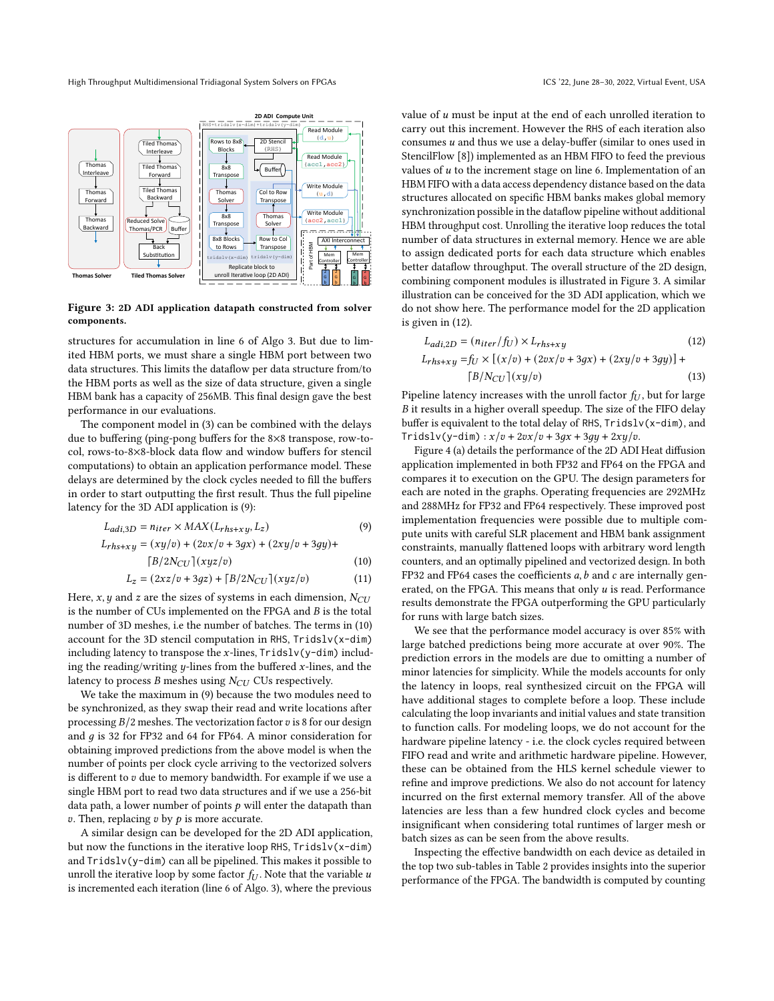<span id="page-6-2"></span>

Figure 3: 2D ADI application datapath constructed from solver components.

structures for accumulation in line 6 of Algo [3.](#page-5-1) But due to limited HBM ports, we must share a single HBM port between two data structures. This limits the dataflow per data structure from/to the HBM ports as well as the size of data structure, given a single HBM bank has a capacity of 256MB. This final design gave the best performance in our evaluations.

The component model in [\(3\)](#page-2-1) can be combined with the delays due to buffering (ping-pong buffers for the 8×8 transpose, row-tocol, rows-to-8×8-block data flow and window buffers for stencil computations) to obtain an application performance model. These delays are determined by the clock cycles needed to fill the buffers in order to start outputting the first result. Thus the full pipeline latency for the 3D ADI application is [\(9\)](#page-6-0):

$$
L_{adi,3D} = n_{iter} \times MAX(L_{rhs+xy}, L_z)
$$
\n(9)

$$
L_{rhs+xy} = (xy/v) + (2vx/v + 3gx) + (2xy/v + 3gy) +
$$
  
\n
$$
[B/2N_{CU}](xyz/v)
$$
\n(10)

$$
L_z = (2xz/v + 3gz) + \lceil B/2N_{CU} \rceil (xyz/v) \tag{11}
$$

Here, x, y and z are the sizes of systems in each dimension,  $N_{\text{C}U}$ is the number of CUs implemented on the FPGA and  $\boldsymbol{B}$  is the total number of 3D meshes, i.e the number of batches. The terms in [\(10\)](#page-6-1) account for the 3D stencil computation in RHS, Tridslv(x-dim) including latency to transpose the  $x$ -lines,  $Trialslv(y-dim)$  including the reading/writing  $y$ -lines from the buffered  $x$ -lines, and the latency to process  $B$  meshes using  $N_{CU}$  CUs respectively.

We take the maximum in [\(9\)](#page-6-0) because the two modules need to be synchronized, as they swap their read and write locations after processing  $B/2$  meshes. The vectorization factor  $v$  is 8 for our design and  $q$  is 32 for FP32 and 64 for FP64. A minor consideration for obtaining improved predictions from the above model is when the number of points per clock cycle arriving to the vectorized solvers is different to  $v$  due to memory bandwidth. For example if we use a single HBM port to read two data structures and if we use a 256-bit data path, a lower number of points  $p$  will enter the datapath than  $v$ . Then, replacing  $v$  by  $p$  is more accurate.

A similar design can be developed for the 2D ADI application, but now the functions in the iterative loop RHS, Tridslv(x-dim) and Tridslv(y-dim) can all be pipelined. This makes it possible to unroll the iterative loop by some factor  $f_U$ . Note that the variable  $u$ is incremented each iteration (line 6 of Algo. [3\)](#page-5-1), where the previous

value of  $u$  must be input at the end of each unrolled iteration to carry out this increment. However the RHS of each iteration also consumes  $u$  and thus we use a delay-buffer (similar to ones used in StencilFlow [\[8\]](#page-11-23)) implemented as an HBM FIFO to feed the previous values of  $u$  to the increment stage on line 6. Implementation of an HBM FIFO with a data access dependency distance based on the data structures allocated on specific HBM banks makes global memory synchronization possible in the dataflow pipeline without additional HBM throughput cost. Unrolling the iterative loop reduces the total number of data structures in external memory. Hence we are able to assign dedicated ports for each data structure which enables better dataflow throughput. The overall structure of the 2D design, combining component modules is illustrated in Figure [3.](#page-6-2) A similar illustration can be conceived for the 3D ADI application, which we do not show here. The performance model for the 2D application is given in [\(12\)](#page-6-3).

<span id="page-6-3"></span>
$$
L_{adi,2D} = (n_{iter}/f_U) \times L_{rhs+xy}
$$
\n
$$
L_{rhs+xy} = f_U \times [(x/v) + (2vx/v + 3gx) + (2xy/v + 3gy)] +
$$
\n
$$
[B/N_{CU}](xy/v)
$$
\n(13)

Pipeline latency increases with the unroll factor  $f_U$ , but for large  $B$  it results in a higher overall speedup. The size of the FIFO delay buffer is equivalent to the total delay of RHS, Tridslv(x-dim), and  $Trialslv(y-dim): x/v + 2vx/v + 3gx + 3gy + 2xy/v.$ 

<span id="page-6-0"></span>Figure [4](#page-7-0) (a) details the performance of the 2D ADI Heat diffusion application implemented in both FP32 and FP64 on the FPGA and compares it to execution on the GPU. The design parameters for each are noted in the graphs. Operating frequencies are 292MHz and 288MHz for FP32 and FP64 respectively. These improved post implementation frequencies were possible due to multiple compute units with careful SLR placement and HBM bank assignment constraints, manually flattened loops with arbitrary word length counters, and an optimally pipelined and vectorized design. In both FP32 and FP64 cases the coefficients  $a$ ,  $b$  and  $c$  are internally generated, on the FPGA. This means that only  $u$  is read. Performance results demonstrate the FPGA outperforming the GPU particularly for runs with large batch sizes.

<span id="page-6-1"></span>We see that the performance model accuracy is over 85% with large batched predictions being more accurate at over 90%. The prediction errors in the models are due to omitting a number of minor latencies for simplicity. While the models accounts for only the latency in loops, real synthesized circuit on the FPGA will have additional stages to complete before a loop. These include calculating the loop invariants and initial values and state transition to function calls. For modeling loops, we do not account for the hardware pipeline latency - i.e. the clock cycles required between FIFO read and write and arithmetic hardware pipeline. However, these can be obtained from the HLS kernel schedule viewer to refine and improve predictions. We also do not account for latency incurred on the first external memory transfer. All of the above latencies are less than a few hundred clock cycles and become insignificant when considering total runtimes of larger mesh or batch sizes as can be seen from the above results.

Inspecting the effective bandwidth on each device as detailed in the top two sub-tables in Table [2](#page-8-0) provides insights into the superior performance of the FPGA. The bandwidth is computed by counting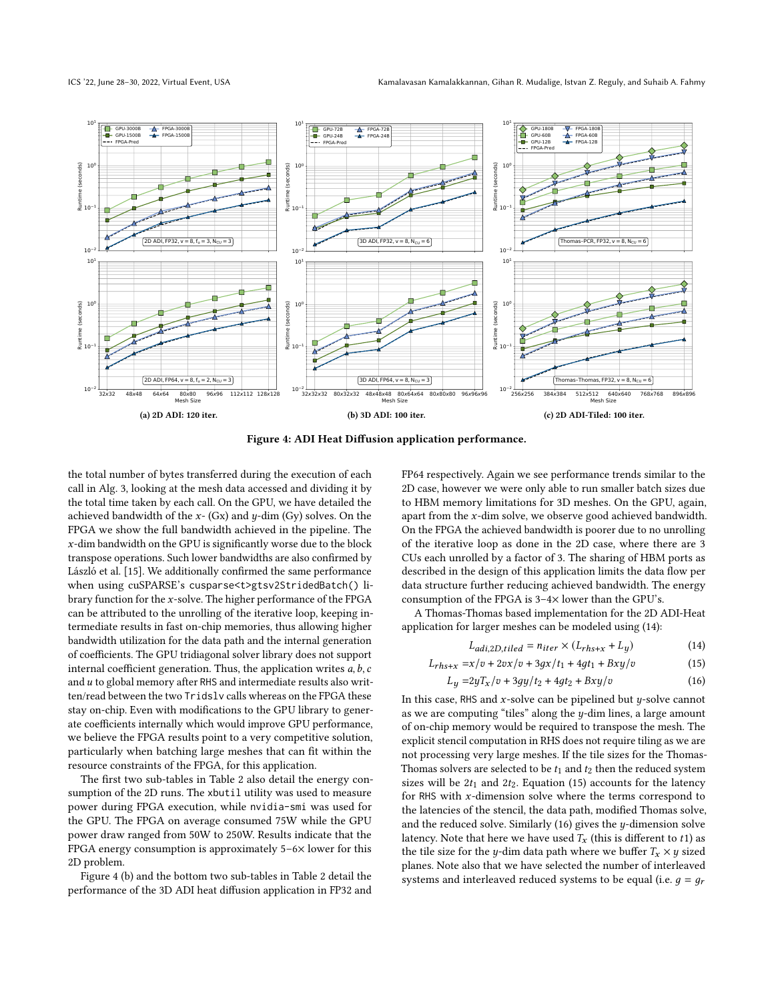<span id="page-7-0"></span>

Figure 4: ADI Heat Diffusion application performance.

the total number of bytes transferred during the execution of each call in Alg. [3,](#page-5-1) looking at the mesh data accessed and dividing it by the total time taken by each call. On the GPU, we have detailed the achieved bandwidth of the  $x-$  (Gx) and  $y$ -dim (Gy) solves. On the FPGA we show the full bandwidth achieved in the pipeline. The  $x$ -dim bandwidth on the GPU is significantly worse due to the block transpose operations. Such lower bandwidths are also confirmed by László et al. [\[15\]](#page-11-3). We additionally confirmed the same performance when using cuSPARSE's cusparse<t>gtsv2StridedBatch() library function for the  $x$ -solve. The higher performance of the FPGA can be attributed to the unrolling of the iterative loop, keeping intermediate results in fast on-chip memories, thus allowing higher bandwidth utilization for the data path and the internal generation of coefficients. The GPU tridiagonal solver library does not support internal coefficient generation. Thus, the application writes  $a, b, c$ and  $u$  to global memory after RHS and intermediate results also written/read between the two Tridslv calls whereas on the FPGA these stay on-chip. Even with modifications to the GPU library to generate coefficients internally which would improve GPU performance, we believe the FPGA results point to a very competitive solution, particularly when batching large meshes that can fit within the resource constraints of the FPGA, for this application.

The first two sub-tables in Table [2](#page-8-0) also detail the energy consumption of the 2D runs. The xbutil utility was used to measure power during FPGA execution, while nvidia-smi was used for the GPU. The FPGA on average consumed 75W while the GPU power draw ranged from 50W to 250W. Results indicate that the FPGA energy consumption is approximately  $5-6\times$  lower for this 2D problem.

Figure [4](#page-7-0) (b) and the bottom two sub-tables in Table [2](#page-8-0) detail the performance of the 3D ADI heat diffusion application in FP32 and FP64 respectively. Again we see performance trends similar to the 2D case, however we were only able to run smaller batch sizes due to HBM memory limitations for 3D meshes. On the GPU, again, apart from the  $x$ -dim solve, we observe good achieved bandwidth. On the FPGA the achieved bandwidth is poorer due to no unrolling of the iterative loop as done in the 2D case, where there are 3 CUs each unrolled by a factor of 3. The sharing of HBM ports as described in the design of this application limits the data flow per data structure further reducing achieved bandwidth. The energy consumption of the FPGA is  $3-4\times$  lower than the GPU's.

A Thomas-Thomas based implementation for the 2D ADI-Heat application for larger meshes can be modeled using [\(14\)](#page-7-1):

<span id="page-7-3"></span><span id="page-7-2"></span><span id="page-7-1"></span>
$$
L_{adi,2D,tiled} = n_{iter} \times (L_{rhs+x} + L_y)
$$
 (14)

$$
L_{rhs+x} = x/v + 2vx/v + 3gx/t_1 + 4gt_1 + Bxy/v \tag{15}
$$

$$
L_y = 2yT_x/v + 3gy/t_2 + 4gt_2 + Bxy/v
$$
 (16)

In this case, RHS and  $x$ -solve can be pipelined but  $y$ -solve cannot as we are computing "tiles" along the  $y$ -dim lines, a large amount of on-chip memory would be required to transpose the mesh. The explicit stencil computation in RHS does not require tiling as we are not processing very large meshes. If the tile sizes for the Thomas-Thomas solvers are selected to be  $t_1$  and  $t_2$  then the reduced system sizes will be  $2t_1$  and  $2t_2$ . Equation [\(15\)](#page-7-2) accounts for the latency for RHS with  $x$ -dimension solve where the terms correspond to the latencies of the stencil, the data path, modified Thomas solve, and the reduced solve. Similarly  $(16)$  gives the *y*-dimension solve latency. Note that here we have used  $T_x$  (this is different to t1) as the tile size for the y-dim data path where we buffer  $T_x \times y$  sized planes. Note also that we have selected the number of interleaved systems and interleaved reduced systems to be equal (i.e.  $g = g_r$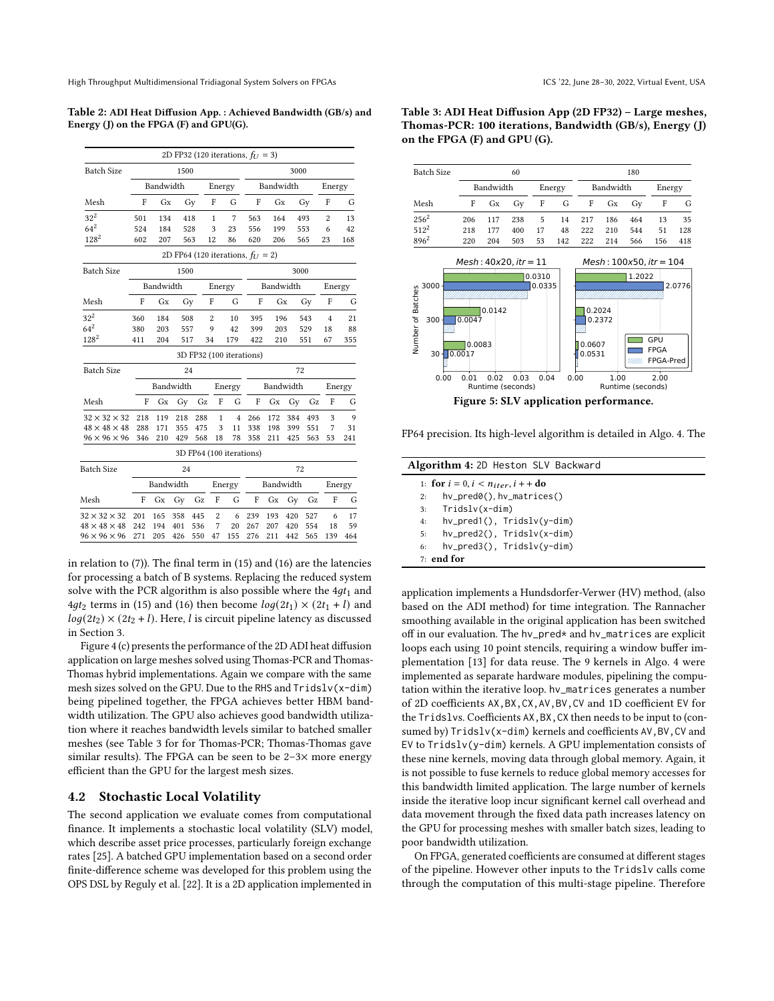<span id="page-8-0"></span>Table 2: ADI Heat Diffusion App. : Achieved Bandwidth (GB/s) and Energy (J) on the FPGA (F) and GPU(G).

|                          |      |                                  |           |     |                |                | 2D FP32 (120 iterations, $f_U = 3$ )   |     |      |     |                |        |  |
|--------------------------|------|----------------------------------|-----------|-----|----------------|----------------|----------------------------------------|-----|------|-----|----------------|--------|--|
| <b>Batch Size</b>        | 1500 |                                  |           |     |                |                | 3000                                   |     |      |     |                |        |  |
|                          |      | Bandwidth<br>Bandwidth<br>Energy |           |     |                | Energy         |                                        |     |      |     |                |        |  |
| Mesh                     | F    | Gx                               |           | Gy  | F              | G              | F                                      | Gx  |      | Gy  | F              | G      |  |
| $32^2$                   | 501  | 134                              |           | 418 | 1              | 7              | 563                                    | 164 |      | 493 | 2              | 13     |  |
| $64^{2}$                 | 524  | 184                              |           | 528 | 3              | 23             | 556                                    | 199 |      | 553 | 6              | 42     |  |
| $128^{2}$                | 602  | 207                              |           | 563 | 12             | 86             | 620                                    | 206 |      | 565 | 23             | 168    |  |
|                          |      |                                  |           |     |                |                | 2D FP64 (120 iterations, $f_{U} = 2$ ) |     |      |     |                |        |  |
| <b>Batch Size</b>        |      |                                  | 1500      |     |                |                |                                        |     | 3000 |     |                |        |  |
|                          |      | Bandwidth                        |           |     | Energy         |                | Bandwidth                              |     |      |     | Energy         |        |  |
| Mesh                     | F    | Gx                               | Gy        |     | F              | G              | F                                      | Gx  |      | Gy  | F              | G      |  |
| $32^2$                   | 360  | 184                              | 508       |     | 2              | 10             | 395                                    | 196 |      | 543 | $\overline{4}$ | 21     |  |
| $64^{2}$                 | 380  | 203                              | 557       |     | 9              | 42             | 399                                    | 203 |      | 529 | 18             | 88     |  |
| $128^{2}$                | 411  | 204                              | 517       |     | 34             | 179            | 422                                    | 210 |      | 551 | 67             | 355    |  |
|                          |      |                                  |           |     |                |                | 3D FP32 (100 iterations)               |     |      |     |                |        |  |
| <b>Batch Size</b>        |      | 24                               |           |     |                | 72             |                                        |     |      |     |                |        |  |
|                          |      |                                  | Bandwidth |     |                | Energy         | Bandwidth<br>Energy                    |     |      |     |                |        |  |
| Mesh                     | F    | Gx                               | Gy        | Gz  | F              | G              | F                                      | Gx  | Gy   | Gz  | F              | G      |  |
| $32 \times 32 \times 32$ | 218  | 119                              | 218       | 288 | $\mathbf{1}$   | $\overline{4}$ | 266                                    | 172 | 384  | 493 | 3              | 9      |  |
| $48 \times 48 \times 48$ | 288  | 171                              | 355       | 475 | 3              | 11             | 338                                    | 198 | 399  | 551 | 7              | 31     |  |
| $96 \times 96 \times 96$ | 346  | 210                              | 429       | 568 | 18             | 78             | 358                                    | 211 | 425  | 563 | 53             | 241    |  |
|                          |      |                                  |           |     |                |                | 3D FP64 (100 iterations)               |     |      |     |                |        |  |
| <b>Batch Size</b>        | 24   |                                  |           |     |                | 72             |                                        |     |      |     |                |        |  |
|                          |      | Bandwidth                        |           |     |                | Energy         | Bandwidth                              |     |      |     |                | Energy |  |
| Mesh                     | F    | Gх                               | Gy        | Gz  | F              | G              | F                                      | Gx  | Gy   | Gz  | F              | G      |  |
| $32 \times 32 \times 32$ | 201  | 165                              | 358       | 445 | $\overline{2}$ | 6              | 239                                    | 193 | 420  | 527 | 6              | 17     |  |
| $48 \times 48 \times 48$ | 242  | 194                              | 401       | 536 | 7              | 20             | 267                                    | 207 | 420  | 554 | 18             | 59     |  |
| $96 \times 96 \times 96$ | 271  | 205                              | 426       | 550 | 47             | 155            | 276                                    | 211 | 442  | 565 | 139            | 464    |  |

in relation to [\(7\)](#page-4-2)). The final term in [\(15\)](#page-7-2) and [\(16\)](#page-7-3) are the latencies for processing a batch of B systems. Replacing the reduced system solve with the PCR algorithm is also possible where the  $4gt<sub>1</sub>$  and 4gt<sub>2</sub> terms in [\(15\)](#page-7-2) and [\(16\)](#page-7-3) then become  $log(2t_1) \times (2t_1 + l)$  and  $log(2t_2) \times (2t_2 + l)$ . Here, *l* is circuit pipeline latency as discussed in Section [3.](#page-2-0)

Figure [4](#page-7-0) (c) presents the performance of the 2D ADI heat diffusion application on large meshes solved using Thomas-PCR and Thomas-Thomas hybrid implementations. Again we compare with the same mesh sizes solved on the GPU. Due to the RHS and Tridslv(x-dim) being pipelined together, the FPGA achieves better HBM bandwidth utilization. The GPU also achieves good bandwidth utilization where it reaches bandwidth levels similar to batched smaller meshes (see Table [3](#page-8-1) for for Thomas-PCR; Thomas-Thomas gave similar results). The FPGA can be seen to be  $2-3\times$  more energy efficient than the GPU for the largest mesh sizes.

#### <span id="page-8-4"></span>4.2 Stochastic Local Volatility

The second application we evaluate comes from computational finance. It implements a stochastic local volatility (SLV) model, which describe asset price processes, particularly foreign exchange rates [\[25\]](#page-11-24). A batched GPU implementation based on a second order finite-difference scheme was developed for this problem using the OPS DSL by Reguly et al. [\[22\]](#page-11-18). It is a 2D application implemented in

<span id="page-8-1"></span>Table 3: ADI Heat Diffusion App (2D FP32) - Large meshes, Thomas-PCR: 100 iterations, Bandwidth (GB/s), Energy (J) on the FPGA (F) and GPU (G).

<span id="page-8-3"></span>

FP64 precision. Its high-level algorithm is detailed in Algo. [4.](#page-8-2) The

| Algorithm 4: 2D Heston SLV Backward            |  |  |  |  |  |
|------------------------------------------------|--|--|--|--|--|
| 1: for $i = 0, i < n_{iter}, i + +$ do         |  |  |  |  |  |
| $hv\_pred\emptyset()$ , $hv\_matrices()$<br>2: |  |  |  |  |  |
| Tridslv(x-dim)<br>3:                           |  |  |  |  |  |
| $hv\_pred1()$ , Tridslv(y-dim)<br>4:           |  |  |  |  |  |
| $hv\_pred2()$ , $Tridslv(x-dim)$<br>5:         |  |  |  |  |  |
| $hv\_pred3()$ , Tridslv(y-dim)<br>6:           |  |  |  |  |  |
| $7:$ end for                                   |  |  |  |  |  |
|                                                |  |  |  |  |  |

<span id="page-8-2"></span>application implements a Hundsdorfer-Verwer (HV) method, (also based on the ADI method) for time integration. The Rannacher smoothing available in the original application has been switched off in our evaluation. The hv\_pred\* and hv\_matrices are explicit loops each using 10 point stencils, requiring a window buffer implementation [\[13\]](#page-11-22) for data reuse. The 9 kernels in Algo. [4](#page-8-2) were implemented as separate hardware modules, pipelining the computation within the iterative loop. hv\_matrices generates a number of 2D coefficients AX,BX,CX,AV,BV,CV and 1D coefficient EV for the Tridslvs. Coefficients AX,BX,CX then needs to be input to (consumed by)  $Tridslv(x-dim)$  kernels and coefficients AV, BV, CV and EV to Tridslv(y-dim) kernels. A GPU implementation consists of these nine kernels, moving data through global memory. Again, it is not possible to fuse kernels to reduce global memory accesses for this bandwidth limited application. The large number of kernels inside the iterative loop incur significant kernel call overhead and data movement through the fixed data path increases latency on the GPU for processing meshes with smaller batch sizes, leading to poor bandwidth utilization.

On FPGA, generated coefficients are consumed at different stages of the pipeline. However other inputs to the Tridslv calls come through the computation of this multi-stage pipeline. Therefore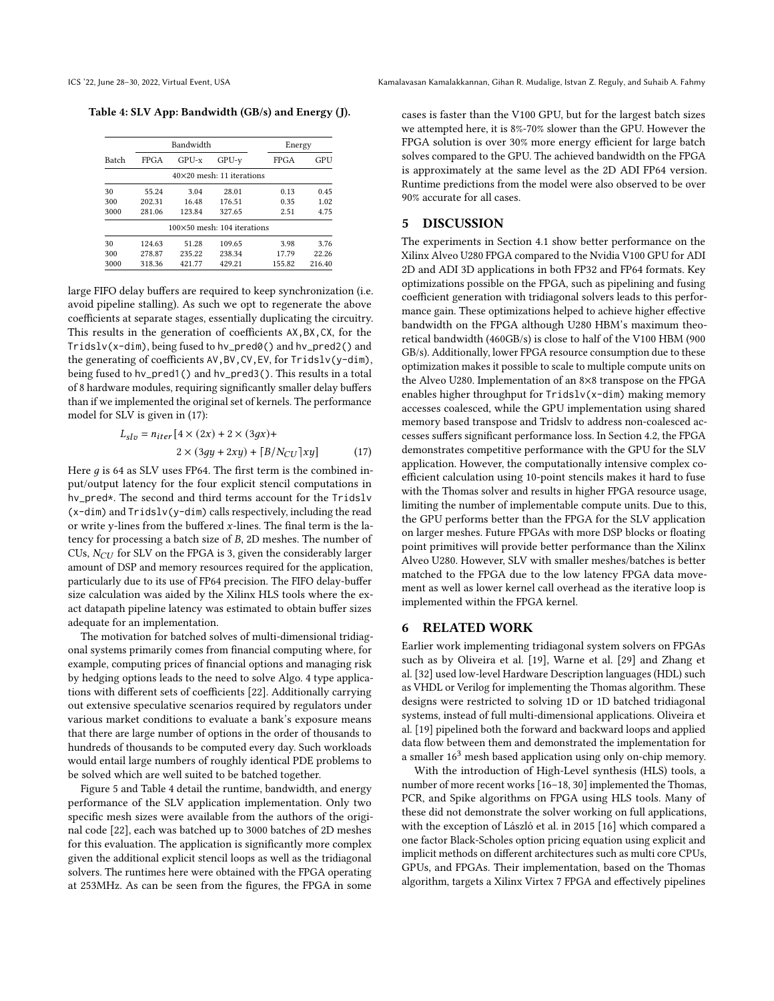<span id="page-9-2"></span>Table 4: SLV App: Bandwidth (GB/s) and Energy (J).

|       |        | Bandwidth                            | Energy                           |        |        |  |
|-------|--------|--------------------------------------|----------------------------------|--------|--------|--|
| Batch | FPGA   | GPU-x                                | $GPU-v$                          | FPGA   | GPU    |  |
|       |        |                                      | $40\times20$ mesh: 11 iterations |        |        |  |
| 30    | 55.24  | 3.04                                 | 28.01                            | 0.13   | 0.45   |  |
| 300   | 202.31 | 16.48                                | 176.51                           | 0.35   | 1.02   |  |
| 3000  | 281.06 | 123.84                               | 327.65                           | 2.51   | 4.75   |  |
|       |        | $100\times50$ mesh: $104$ iterations |                                  |        |        |  |
| 30    | 124.63 | 51.28                                | 109.65                           | 3.98   | 3.76   |  |
| 300   | 278.87 | 235.22                               | 238.34                           | 17.79  | 22.26  |  |
| 3000  | 318.36 | 421.77                               | 429.21                           | 155.82 | 216.40 |  |

large FIFO delay buffers are required to keep synchronization (i.e. avoid pipeline stalling). As such we opt to regenerate the above coefficients at separate stages, essentially duplicating the circuitry. This results in the generation of coefficients AX,BX,CX, for the Tridslv(x-dim), being fused to hv\_pred0() and hv\_pred2() and the generating of coefficients AV,BV,CV,EV, for Tridslv(y-dim), being fused to hv\_pred1() and hv\_pred3(). This results in a total of 8 hardware modules, requiring significantly smaller delay buffers than if we implemented the original set of kernels. The performance model for SLV is given in [\(17\)](#page-9-1):

$$
L_{slv} = n_{iter} [4 \times (2x) + 2 \times (3gx) +2 \times (3gy + 2xy) + [B/N_{CU}]xy]
$$
 (17)

Here  $q$  is 64 as SLV uses FP64. The first term is the combined input/output latency for the four explicit stencil computations in hv\_pred\*. The second and third terms account for the Tridslv (x-dim) and Tridslv(y-dim) calls respectively, including the read or write y-lines from the buffered  $x$ -lines. The final term is the latency for processing a batch size of  $B$ ,  $2D$  meshes. The number of CUs,  $N_{CII}$  for SLV on the FPGA is 3, given the considerably larger amount of DSP and memory resources required for the application, particularly due to its use of FP64 precision. The FIFO delay-buffer size calculation was aided by the Xilinx HLS tools where the exact datapath pipeline latency was estimated to obtain buffer sizes adequate for an implementation.

The motivation for batched solves of multi-dimensional tridiagonal systems primarily comes from financial computing where, for example, computing prices of financial options and managing risk by hedging options leads to the need to solve Algo. [4](#page-8-2) type applications with different sets of coefficients [\[22\]](#page-11-18). Additionally carrying out extensive speculative scenarios required by regulators under various market conditions to evaluate a bank's exposure means that there are large number of options in the order of thousands to hundreds of thousands to be computed every day. Such workloads would entail large numbers of roughly identical PDE problems to be solved which are well suited to be batched together.

Figure [5](#page-8-3) and Table [4](#page-9-2) detail the runtime, bandwidth, and energy performance of the SLV application implementation. Only two specific mesh sizes were available from the authors of the original code [\[22\]](#page-11-18), each was batched up to 3000 batches of 2D meshes for this evaluation. The application is significantly more complex given the additional explicit stencil loops as well as the tridiagonal solvers. The runtimes here were obtained with the FPGA operating at 253MHz. As can be seen from the figures, the FPGA in some

cases is faster than the V100 GPU, but for the largest batch sizes we attempted here, it is 8%-70% slower than the GPU. However the FPGA solution is over 30% more energy efficient for large batch solves compared to the GPU. The achieved bandwidth on the FPGA is approximately at the same level as the 2D ADI FP64 version. Runtime predictions from the model were also observed to be over 90% accurate for all cases.

## <span id="page-9-0"></span>5 DISCUSSION

The experiments in Section [4.1](#page-5-2) show better performance on the Xilinx Alveo U280 FPGA compared to the Nvidia V100 GPU for ADI 2D and ADI 3D applications in both FP32 and FP64 formats. Key optimizations possible on the FPGA, such as pipelining and fusing coefficient generation with tridiagonal solvers leads to this performance gain. These optimizations helped to achieve higher effective bandwidth on the FPGA although U280 HBM's maximum theoretical bandwidth (460GB/s) is close to half of the V100 HBM (900 GB/s). Additionally, lower FPGA resource consumption due to these optimization makes it possible to scale to multiple compute units on the Alveo U280. Implementation of an 8×8 transpose on the FPGA enables higher throughput for Tridslv(x-dim) making memory accesses coalesced, while the GPU implementation using shared memory based transpose and Tridslv to address non-coalesced accesses suffers significant performance loss. In Section [4.2,](#page-8-4) the FPGA demonstrates competitive performance with the GPU for the SLV application. However, the computationally intensive complex coefficient calculation using 10-point stencils makes it hard to fuse with the Thomas solver and results in higher FPGA resource usage, limiting the number of implementable compute units. Due to this, the GPU performs better than the FPGA for the SLV application on larger meshes. Future FPGAs with more DSP blocks or floating point primitives will provide better performance than the Xilinx Alveo U280. However, SLV with smaller meshes/batches is better matched to the FPGA due to the low latency FPGA data movement as well as lower kernel call overhead as the iterative loop is implemented within the FPGA kernel.

#### <span id="page-9-1"></span>6 RELATED WORK

Earlier work implementing tridiagonal system solvers on FPGAs such as by Oliveira et al. [\[19\]](#page-11-6), Warne et al. [\[29\]](#page-11-7) and Zhang et al. [\[32\]](#page-11-8) used low-level Hardware Description languages (HDL) such as VHDL or Verilog for implementing the Thomas algorithm. These designs were restricted to solving 1D or 1D batched tridiagonal systems, instead of full multi-dimensional applications. Oliveira et al. [\[19\]](#page-11-6) pipelined both the forward and backward loops and applied data flow between them and demonstrated the implementation for a smaller  $16<sup>3</sup>$  mesh based application using only on-chip memory.

With the introduction of High-Level synthesis (HLS) tools, a number of more recent works [\[16](#page-11-10)-18, [30\]](#page-11-12) implemented the Thomas, PCR, and Spike algorithms on FPGA using HLS tools. Many of these did not demonstrate the solver working on full applications, with the exception of László et al. in 2015 [\[16\]](#page-11-10) which compared a one factor Black-Scholes option pricing equation using explicit and implicit methods on different architectures such as multi core CPUs, GPUs, and FPGAs. Their implementation, based on the Thomas algorithm, targets a Xilinx Virtex 7 FPGA and effectively pipelines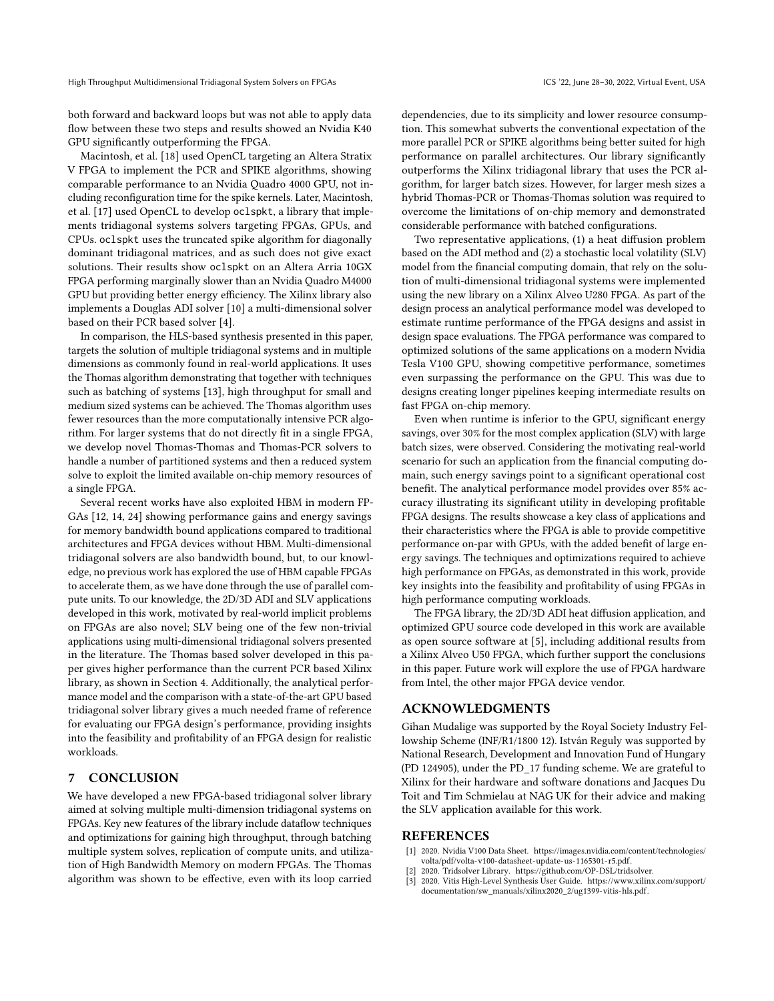both forward and backward loops but was not able to apply data flow between these two steps and results showed an Nvidia K40 GPU significantly outperforming the FPGA.

Macintosh, et al. [\[18\]](#page-11-11) used OpenCL targeting an Altera Stratix V FPGA to implement the PCR and SPIKE algorithms, showing comparable performance to an Nvidia Quadro 4000 GPU, not including reconfiguration time for the spike kernels. Later, Macintosh, et al. [\[17\]](#page-11-25) used OpenCL to develop oclspkt, a library that implements tridiagonal systems solvers targeting FPGAs, GPUs, and CPUs. oclspkt uses the truncated spike algorithm for diagonally dominant tridiagonal matrices, and as such does not give exact solutions. Their results show oclspkt on an Altera Arria 10GX FPGA performing marginally slower than an Nvidia Quadro M4000 GPU but providing better energy efficiency. The Xilinx library also implements a Douglas ADI solver [\[10\]](#page-11-2) a multi-dimensional solver based on their PCR based solver [\[4\]](#page-11-9).

In comparison, the HLS-based synthesis presented in this paper, targets the solution of multiple tridiagonal systems and in multiple dimensions as commonly found in real-world applications. It uses the Thomas algorithm demonstrating that together with techniques such as batching of systems [\[13\]](#page-11-22), high throughput for small and medium sized systems can be achieved. The Thomas algorithm uses fewer resources than the more computationally intensive PCR algorithm. For larger systems that do not directly fit in a single FPGA, we develop novel Thomas-Thomas and Thomas-PCR solvers to handle a number of partitioned systems and then a reduced system solve to exploit the limited available on-chip memory resources of a single FPGA.

Several recent works have also exploited HBM in modern FP-GAs [\[12,](#page-11-26) [14,](#page-11-27) [24\]](#page-11-28) showing performance gains and energy savings for memory bandwidth bound applications compared to traditional architectures and FPGA devices without HBM. Multi-dimensional tridiagonal solvers are also bandwidth bound, but, to our knowledge, no previous work has explored the use of HBM capable FPGAs to accelerate them, as we have done through the use of parallel compute units. To our knowledge, the 2D/3D ADI and SLV applications developed in this work, motivated by real-world implicit problems on FPGAs are also novel; SLV being one of the few non-trivial applications using multi-dimensional tridiagonal solvers presented in the literature. The Thomas based solver developed in this paper gives higher performance than the current PCR based Xilinx library, as shown in Section [4.](#page-4-0) Additionally, the analytical performance model and the comparison with a state-of-the-art GPU based tridiagonal solver library gives a much needed frame of reference for evaluating our FPGA design's performance, providing insights into the feasibility and profitability of an FPGA design for realistic workloads.

## 7 CONCLUSION

We have developed a new FPGA-based tridiagonal solver library aimed at solving multiple multi-dimension tridiagonal systems on FPGAs. Key new features of the library include dataflow techniques and optimizations for gaining high throughput, through batching multiple system solves, replication of compute units, and utilization of High Bandwidth Memory on modern FPGAs. The Thomas algorithm was shown to be effective, even with its loop carried

dependencies, due to its simplicity and lower resource consumption. This somewhat subverts the conventional expectation of the more parallel PCR or SPIKE algorithms being better suited for high performance on parallel architectures. Our library significantly outperforms the Xilinx tridiagonal library that uses the PCR algorithm, for larger batch sizes. However, for larger mesh sizes a hybrid Thomas-PCR or Thomas-Thomas solution was required to overcome the limitations of on-chip memory and demonstrated considerable performance with batched configurations.

Two representative applications, (1) a heat diffusion problem based on the ADI method and (2) a stochastic local volatility (SLV) model from the financial computing domain, that rely on the solution of multi-dimensional tridiagonal systems were implemented using the new library on a Xilinx Alveo U280 FPGA. As part of the design process an analytical performance model was developed to estimate runtime performance of the FPGA designs and assist in design space evaluations. The FPGA performance was compared to optimized solutions of the same applications on a modern Nvidia Tesla V100 GPU, showing competitive performance, sometimes even surpassing the performance on the GPU. This was due to designs creating longer pipelines keeping intermediate results on fast FPGA on-chip memory.

Even when runtime is inferior to the GPU, significant energy savings, over 30% for the most complex application (SLV) with large batch sizes, were observed. Considering the motivating real-world scenario for such an application from the financial computing domain, such energy savings point to a significant operational cost benefit. The analytical performance model provides over 85% accuracy illustrating its significant utility in developing profitable FPGA designs. The results showcase a key class of applications and their characteristics where the FPGA is able to provide competitive performance on-par with GPUs, with the added benefit of large energy savings. The techniques and optimizations required to achieve high performance on FPGAs, as demonstrated in this work, provide key insights into the feasibility and profitability of using FPGAs in high performance computing workloads.

The FPGA library, the 2D/3D ADI heat diffusion application, and optimized GPU source code developed in this work are available as open source software at [\[5\]](#page-11-29), including additional results from a Xilinx Alveo U50 FPGA, which further support the conclusions in this paper. Future work will explore the use of FPGA hardware from Intel, the other major FPGA device vendor.

# ACKNOWLEDGMENTS

Gihan Mudalige was supported by the Royal Society Industry Fellowship Scheme (INF/R1/1800 12). István Reguly was supported by National Research, Development and Innovation Fund of Hungary (PD 124905), under the PD\_17 funding scheme. We are grateful to Xilinx for their hardware and software donations and Jacques Du Toit and Tim Schmielau at NAG UK for their advice and making the SLV application available for this work.

#### REFERENCES

- <span id="page-10-1"></span>[1] 2020. Nvidia V100 Data Sheet. [https://images.nvidia.com/content/technologies/]( https://images.nvidia.com/content/technologies/volta/pdf/volta-v100-datasheet-update-us-1165301-r5.pdf) [volta/pdf/volta-v100-datasheet-update-us-1165301-r5.pdf.]( https://images.nvidia.com/content/technologies/volta/pdf/volta-v100-datasheet-update-us-1165301-r5.pdf)
- <span id="page-10-2"></span>[2] 2020. Tridsolver Library. [https://github.com/OP-DSL/tridsolver.](https://github.com/OP-DSL/tridsolver)
- <span id="page-10-0"></span>[3] 2020. Vitis High-Level Synthesis User Guide. [https://www.xilinx.com/support/]( https://www.xilinx.com/support/documentation/sw_manuals/xilinx2020_2/ug1399-viti s-hls.pdf) [documentation/sw\\_manuals/xilinx2020\\_2/ug1399-vitis-hls.pdf.]( https://www.xilinx.com/support/documentation/sw_manuals/xilinx2020_2/ug1399-viti s-hls.pdf)